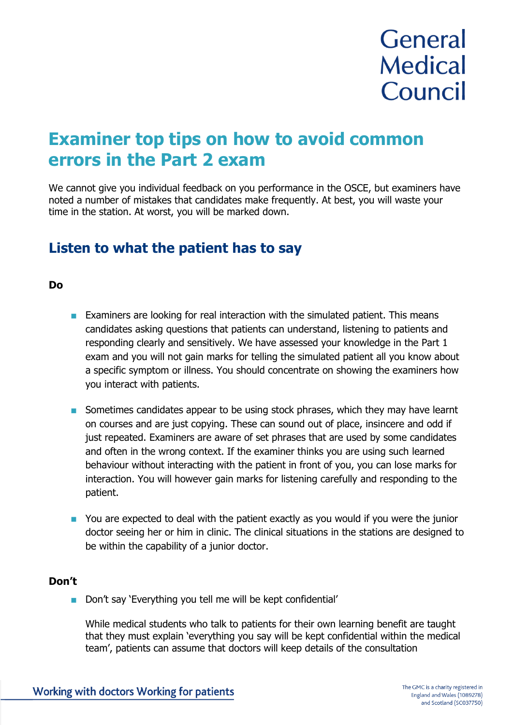# **General Medical** Council

## **Examiner top tips on how to avoid common errors in the Part 2 exam**

We cannot give you individual feedback on you performance in the OSCE, but examiners have noted a number of mistakes that candidates make frequently. At best, you will waste your time in the station. At worst, you will be marked down.

### **Listen to what the patient has to say**

#### **Do**

- **Examiners are looking for real interaction with the simulated patient. This means** candidates asking questions that patients can understand, listening to patients and responding clearly and sensitively. We have assessed your knowledge in the Part 1 exam and you will not gain marks for telling the simulated patient all you know about a specific symptom or illness. You should concentrate on showing the examiners how you interact with patients.
- Sometimes candidates appear to be using stock phrases, which they may have learnt on courses and are just copying. These can sound out of place, insincere and odd if just repeated. Examiners are aware of set phrases that are used by some candidates and often in the wrong context. If the examiner thinks you are using such learned behaviour without interacting with the patient in front of you, you can lose marks for interaction. You will however gain marks for listening carefully and responding to the patient.
- **•** You are expected to deal with the patient exactly as you would if you were the junior doctor seeing her or him in clinic. The clinical situations in the stations are designed to be within the capability of a junior doctor.

#### **Don't**

Don't say 'Everything you tell me will be kept confidential'

While medical students who talk to patients for their own learning benefit are taught that they must explain 'everything you say will be kept confidential within the medical team', patients can assume that doctors will keep details of the consultation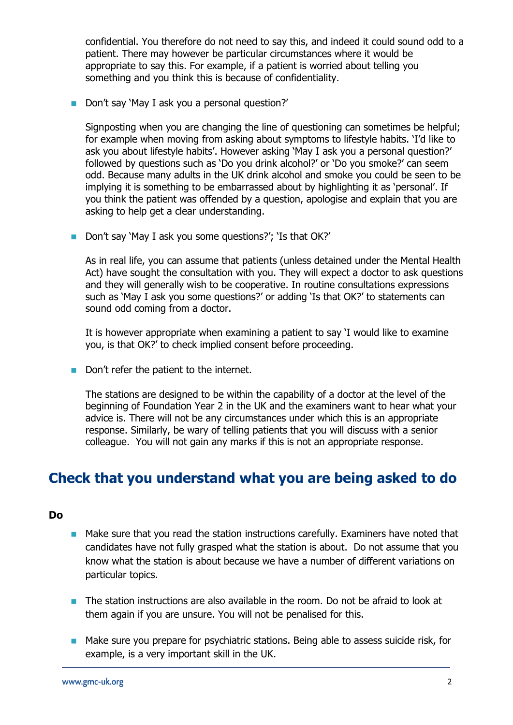confidential. You therefore do not need to say this, and indeed it could sound odd to a patient. There may however be particular circumstances where it would be appropriate to say this. For example, if a patient is worried about telling you something and you think this is because of confidentiality.

Don't say 'May I ask you a personal question?'

Signposting when you are changing the line of questioning can sometimes be helpful; for example when moving from asking about symptoms to lifestyle habits. 'I'd like to ask you about lifestyle habits'. However asking 'May I ask you a personal question?' followed by questions such as 'Do you drink alcohol?' or 'Do you smoke?' can seem odd. Because many adults in the UK drink alcohol and smoke you could be seen to be implying it is something to be embarrassed about by highlighting it as 'personal'. If you think the patient was offended by a question, apologise and explain that you are asking to help get a clear understanding.

Don't say 'May I ask you some questions?'; 'Is that OK?'

As in real life, you can assume that patients (unless detained under the Mental Health Act) have sought the consultation with you. They will expect a doctor to ask questions and they will generally wish to be cooperative. In routine consultations expressions such as 'May I ask you some questions?' or adding 'Is that OK?' to statements can sound odd coming from a doctor.

It is however appropriate when examining a patient to say 'I would like to examine you, is that OK?' to check implied consent before proceeding.

Don't refer the patient to the internet.

The stations are designed to be within the capability of a doctor at the level of the beginning of Foundation Year 2 in the UK and the examiners want to hear what your advice is. There will not be any circumstances under which this is an appropriate response. Similarly, be wary of telling patients that you will discuss with a senior colleague. You will not gain any marks if this is not an appropriate response.

## **Check that you understand what you are being asked to do**

#### **Do**

- Make sure that you read the station instructions carefully. Examiners have noted that candidates have not fully grasped what the station is about. Do not assume that you know what the station is about because we have a number of different variations on particular topics.
- The station instructions are also available in the room. Do not be afraid to look at them again if you are unsure. You will not be penalised for this.
- Make sure you prepare for psychiatric stations. Being able to assess suicide risk, for example, is a very important skill in the UK.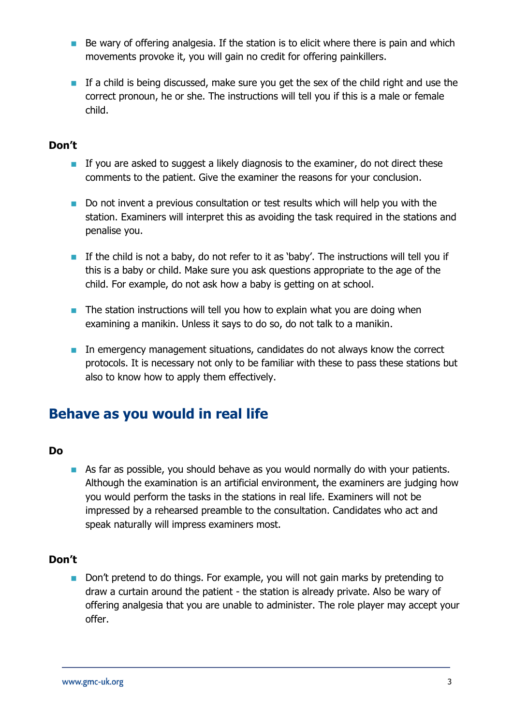- $\blacksquare$  Be wary of offering analgesia. If the station is to elicit where there is pain and which movements provoke it, you will gain no credit for offering painkillers.
- **If a child is being discussed, make sure you get the sex of the child right and use the** correct pronoun, he or she. The instructions will tell you if this is a male or female child.

#### **Don't**

- If you are asked to suggest a likely diagnosis to the examiner, do not direct these comments to the patient. Give the examiner the reasons for your conclusion.
- Do not invent a previous consultation or test results which will help you with the station. Examiners will interpret this as avoiding the task required in the stations and penalise you.
- If the child is not a baby, do not refer to it as 'baby'. The instructions will tell you if this is a baby or child. Make sure you ask questions appropriate to the age of the child. For example, do not ask how a baby is getting on at school.
- $\blacksquare$  The station instructions will tell you how to explain what you are doing when examining a manikin. Unless it says to do so, do not talk to a manikin.
- In emergency management situations, candidates do not always know the correct protocols. It is necessary not only to be familiar with these to pass these stations but also to know how to apply them effectively.

## **Behave as you would in real life**

#### **Do**

As far as possible, you should behave as you would normally do with your patients. Although the examination is an artificial environment, the examiners are judging how you would perform the tasks in the stations in real life. Examiners will not be impressed by a rehearsed preamble to the consultation. Candidates who act and speak naturally will impress examiners most.

#### **Don't**

Don't pretend to do things. For example, you will not gain marks by pretending to draw a curtain around the patient - the station is already private. Also be wary of offering analgesia that you are unable to administer. The role player may accept your offer.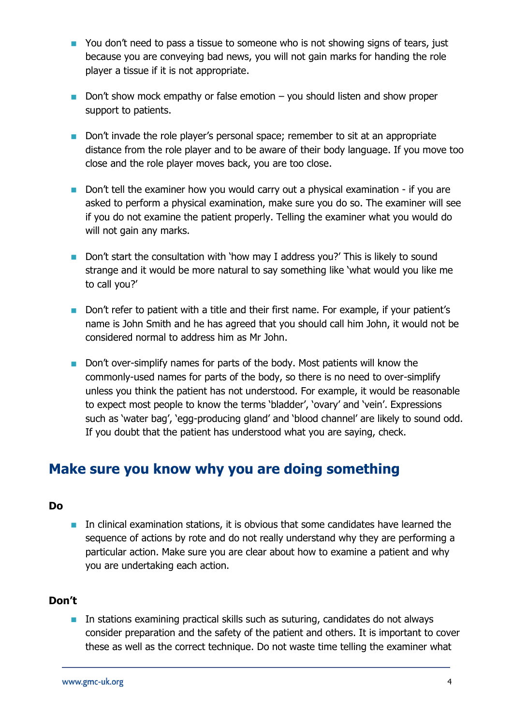- You don't need to pass a tissue to someone who is not showing signs of tears, just because you are conveying bad news, you will not gain marks for handing the role player a tissue if it is not appropriate.
- Don't show mock empathy or false emotion  $-$  you should listen and show proper support to patients.
- Don't invade the role player's personal space; remember to sit at an appropriate distance from the role player and to be aware of their body language. If you move too close and the role player moves back, you are too close.
- Don't tell the examiner how you would carry out a physical examination if you are asked to perform a physical examination, make sure you do so. The examiner will see if you do not examine the patient properly. Telling the examiner what you would do will not gain any marks.
- Don't start the consultation with 'how may I address you?' This is likely to sound strange and it would be more natural to say something like 'what would you like me to call you?'
- Don't refer to patient with a title and their first name. For example, if your patient's name is John Smith and he has agreed that you should call him John, it would not be considered normal to address him as Mr John.
- Don't over-simplify names for parts of the body. Most patients will know the commonly-used names for parts of the body, so there is no need to over-simplify unless you think the patient has not understood. For example, it would be reasonable to expect most people to know the terms 'bladder', 'ovary' and 'vein'. Expressions such as 'water bag', 'egg-producing gland' and 'blood channel' are likely to sound odd. If you doubt that the patient has understood what you are saying, check.

## **Make sure you know why you are doing something**

#### **Do**

**IF** In clinical examination stations, it is obvious that some candidates have learned the sequence of actions by rote and do not really understand why they are performing a particular action. Make sure you are clear about how to examine a patient and why you are undertaking each action.

#### **Don't**

**In stations examining practical skills such as suturing, candidates do not always** consider preparation and the safety of the patient and others. It is important to cover these as well as the correct technique. Do not waste time telling the examiner what